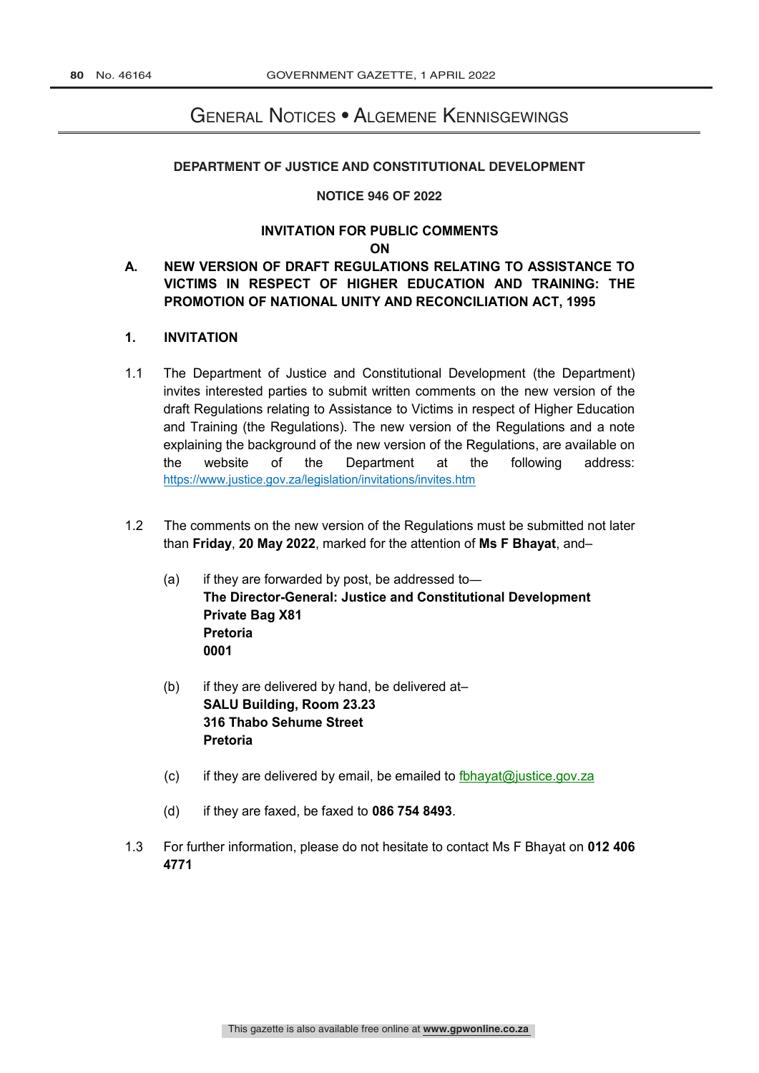# General Notices • Algemene Kennisgewings

#### DEPARTMENT OF JUSTICE AND CONSTITUTIONAL DEVELOPMENT

#### **NOTICE 946 OF 2022**

# **INVITATION FOR PUBLIC COMMENTS**

### **ON**

## **A. NEW VERSION OF DRAFT REGULATIONS RELATING TO ASSISTANCE TO VICTIMS IN RESPECT OF HIGHER EDUCATION AND TRAINING: THE PROMOTION OF NATIONAL UNITY AND RECONCILIATION ACT, 1995**

#### **1. INVITATION**

- 1.1 The Department of Justice and Constitutional Development (the Department) invites interested parties to submit written comments on the new version of the draft Regulations relating to Assistance to Victims in respect of Higher Education and Training (the Regulations). The new version of the Regulations and a note explaining the background of the new version of the Regulations, are available on the website of the Department at the following address: https://www.justice.gov.za/legislation/invitations/invites.htm
- 1.2 The comments on the new version of the Regulations must be submitted not later than **Friday**, **20 May 2022**, marked for the attention of **Ms F Bhayat**, and–
	- (a) if they are forwarded by post, be addressed to— **The Director-General: Justice and Constitutional Development Private Bag X81 Pretoria 0001**
	- (b) if they are delivered by hand, be delivered at– **SALU Building, Room 23.23 316 Thabo Sehume Street Pretoria**
	- (c) if they are delivered by email, be emailed to fbhayat@justice.gov.za
	- (d) if they are faxed, be faxed to **086 754 8493**.
- 1.3 For further information, please do not hesitate to contact Ms F Bhayat on **012 406 4771**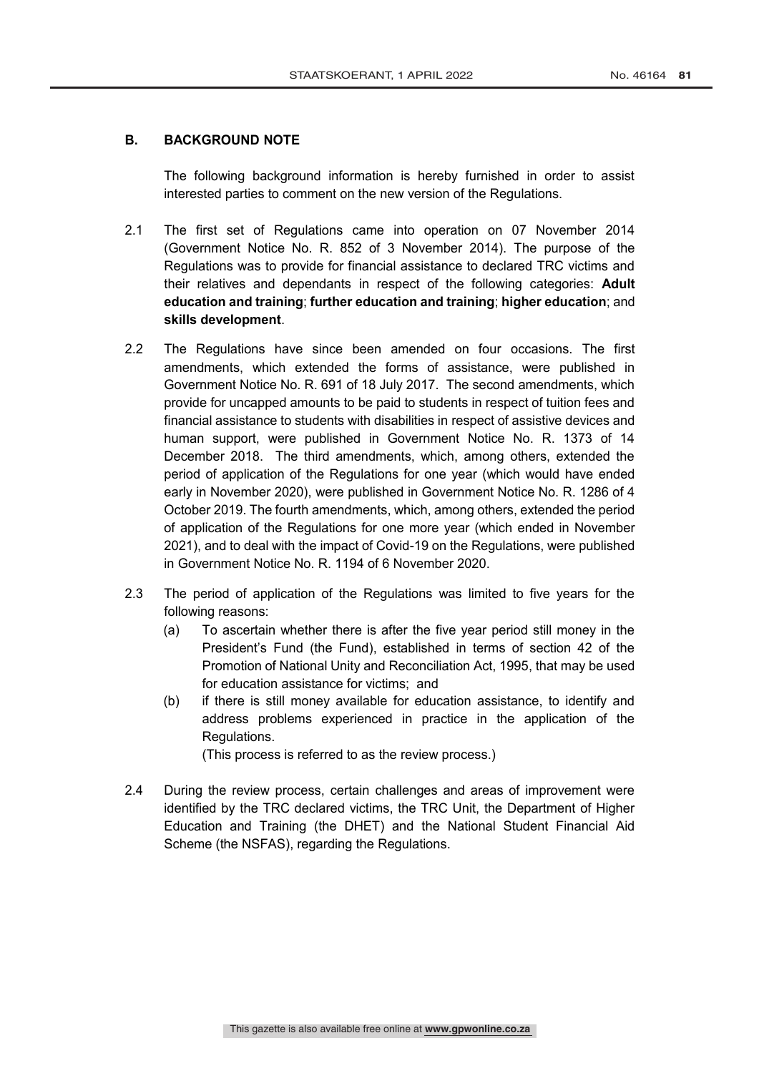### **B. BACKGROUND NOTE**

The following background information is hereby furnished in order to assist interested parties to comment on the new version of the Regulations.

- 2.1 The first set of Regulations came into operation on 07 November 2014 (Government Notice No. R. 852 of 3 November 2014). The purpose of the Regulations was to provide for financial assistance to declared TRC victims and their relatives and dependants in respect of the following categories: **Adult education and training**; **further education and training**; **higher education**; and **skills development**.
- 2.2 The Regulations have since been amended on four occasions. The first amendments, which extended the forms of assistance, were published in Government Notice No. R. 691 of 18 July 2017. The second amendments, which provide for uncapped amounts to be paid to students in respect of tuition fees and financial assistance to students with disabilities in respect of assistive devices and human support, were published in Government Notice No. R. 1373 of 14 December 2018. The third amendments, which, among others, extended the period of application of the Regulations for one year (which would have ended early in November 2020), were published in Government Notice No. R. 1286 of 4 October 2019. The fourth amendments, which, among others, extended the period of application of the Regulations for one more year (which ended in November 2021), and to deal with the impact of Covid-19 on the Regulations, were published in Government Notice No. R. 1194 of 6 November 2020.
- 2.3 The period of application of the Regulations was limited to five years for the following reasons:
	- (a) To ascertain whether there is after the five year period still money in the President's Fund (the Fund), established in terms of section 42 of the Promotion of National Unity and Reconciliation Act, 1995, that may be used for education assistance for victims; and
	- (b) if there is still money available for education assistance, to identify and address problems experienced in practice in the application of the Regulations.

(This process is referred to as the review process.)

2.4 During the review process, certain challenges and areas of improvement were identified by the TRC declared victims, the TRC Unit, the Department of Higher Education and Training (the DHET) and the National Student Financial Aid Scheme (the NSFAS), regarding the Regulations.